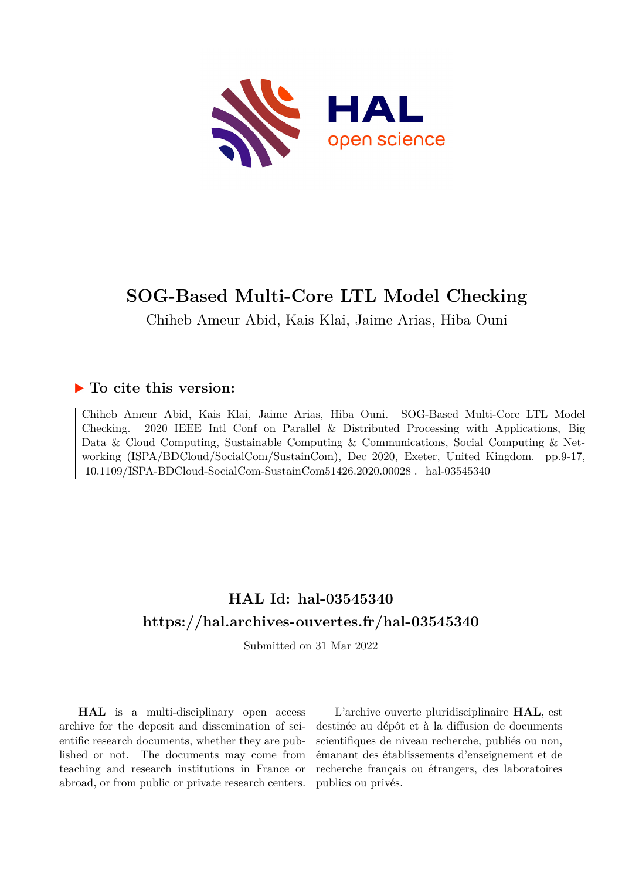

## **SOG-Based Multi-Core LTL Model Checking**

Chiheb Ameur Abid, Kais Klai, Jaime Arias, Hiba Ouni

## **To cite this version:**

Chiheb Ameur Abid, Kais Klai, Jaime Arias, Hiba Ouni. SOG-Based Multi-Core LTL Model Checking. 2020 IEEE Intl Conf on Parallel & Distributed Processing with Applications, Big Data & Cloud Computing, Sustainable Computing & Communications, Social Computing & Networking (ISPA/BDCloud/SocialCom/SustainCom), Dec 2020, Exeter, United Kingdom. pp.9-17,  $10.1109/$ ISPA-BDCloud-SocialCom-SustainCom51426.2020.00028  $. 1$ hal-03545340

## **HAL Id: hal-03545340 <https://hal.archives-ouvertes.fr/hal-03545340>**

Submitted on 31 Mar 2022

**HAL** is a multi-disciplinary open access archive for the deposit and dissemination of scientific research documents, whether they are published or not. The documents may come from teaching and research institutions in France or abroad, or from public or private research centers.

L'archive ouverte pluridisciplinaire **HAL**, est destinée au dépôt et à la diffusion de documents scientifiques de niveau recherche, publiés ou non, émanant des établissements d'enseignement et de recherche français ou étrangers, des laboratoires publics ou privés.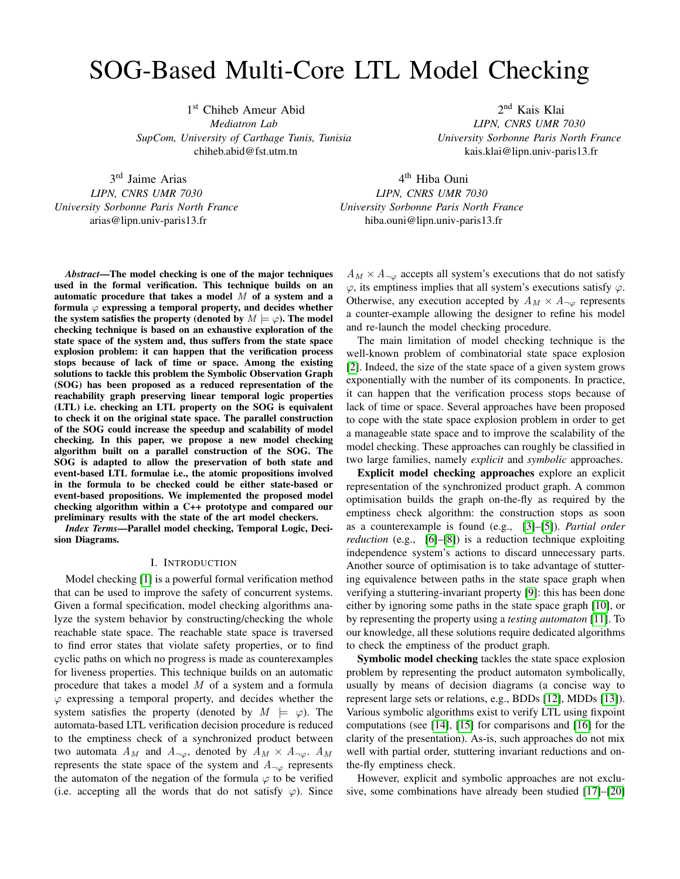# SOG-Based Multi-Core LTL Model Checking

1 st Chiheb Ameur Abid *Mediatron Lab SupCom, University of Carthage Tunis, Tunisia* chiheb.abid@fst.utm.tn

3 rd Jaime Arias *LIPN, CNRS UMR 7030 University Sorbonne Paris North France* arias@lipn.univ-paris13.fr

*Abstract*—The model checking is one of the major techniques used in the formal verification. This technique builds on an automatic procedure that takes a model  $M$  of a system and a formula  $\varphi$  expressing a temporal property, and decides whether the system satisfies the property (denoted by  $M \models \varphi$ ). The model checking technique is based on an exhaustive exploration of the state space of the system and, thus suffers from the state space explosion problem: it can happen that the verification process stops because of lack of time or space. Among the existing solutions to tackle this problem the Symbolic Observation Graph (SOG) has been proposed as a reduced representation of the reachability graph preserving linear temporal logic properties (LTL) i.e. checking an LTL property on the SOG is equivalent to check it on the original state space. The parallel construction of the SOG could increase the speedup and scalability of model checking. In this paper, we propose a new model checking algorithm built on a parallel construction of the SOG. The SOG is adapted to allow the preservation of both state and event-based LTL formulae i.e., the atomic propositions involved in the formula to be checked could be either state-based or event-based propositions. We implemented the proposed model checking algorithm within a C++ prototype and compared our preliminary results with the state of the art model checkers.

*Index Terms*—Parallel model checking, Temporal Logic, Decision Diagrams.

## I. INTRODUCTION

Model checking [1] is a powerful formal verification method that can be used to improve the safety of concurrent systems. Given a formal specification, model checking algorithms analyze the system behavior by constructing/checking the whole reachable state space. The reachable state space is traversed to find error states that violate safety properties, or to find cyclic paths on which no progress is made as counterexamples for liveness properties. This technique builds on an automatic procedure that takes a model M of a system and a formula  $\varphi$  expressing a temporal property, and decides whether the system satisfies the property (denoted by  $M \models \varphi$ ). The automata-based LTL verification decision procedure is reduced to the emptiness check of a synchronized product between two automata  $A_M$  and  $A_{\neg\varphi}$ , denoted by  $A_M \times A_{\neg\varphi}$ .  $A_M$ represents the state space of the system and  $A_{\neg\varphi}$  represents the automaton of the negation of the formula  $\varphi$  to be verified (i.e. accepting all the words that do not satisfy  $\varphi$ ). Since

2 nd Kais Klai *LIPN, CNRS UMR 7030 University Sorbonne Paris North France* kais.klai@lipn.univ-paris13.fr

4 th Hiba Ouni *LIPN, CNRS UMR 7030 University Sorbonne Paris North France* hiba.ouni@lipn.univ-paris13.fr

 $A_M \times A_{\neg \varphi}$  accepts all system's executions that do not satisfy  $\varphi$ , its emptiness implies that all system's executions satisfy  $\varphi$ . Otherwise, any execution accepted by  $A_M \times A_{\neg\varphi}$  represents a counter-example allowing the designer to refine his model and re-launch the model checking procedure.

The main limitation of model checking technique is the well-known problem of combinatorial state space explosion [2]. Indeed, the size of the state space of a given system grows exponentially with the number of its components. In practice, it can happen that the verification process stops because of lack of time or space. Several approaches have been proposed to cope with the state space explosion problem in order to get a manageable state space and to improve the scalability of the model checking. These approaches can roughly be classified in two large families, namely *explicit* and *symbolic* approaches.

Explicit model checking approaches explore an explicit representation of the synchronized product graph. A common optimisation builds the graph on-the-fly as required by the emptiness check algorithm: the construction stops as soon as a counterexample is found (e.g., [3]–[5]). *Partial order reduction* (e.g., [6]–[8]) is a reduction technique exploiting independence system's actions to discard unnecessary parts. Another source of optimisation is to take advantage of stuttering equivalence between paths in the state space graph when verifying a stuttering-invariant property [9]: this has been done either by ignoring some paths in the state space graph [10], or by representing the property using a *testing automaton* [11]. To our knowledge, all these solutions require dedicated algorithms to check the emptiness of the product graph.

Symbolic model checking tackles the state space explosion problem by representing the product automaton symbolically, usually by means of decision diagrams (a concise way to represent large sets or relations, e.g., BDDs [12], MDDs [13]). Various symbolic algorithms exist to verify LTL using fixpoint computations (see [14], [15] for comparisons and [16] for the clarity of the presentation). As-is, such approaches do not mix well with partial order, stuttering invariant reductions and onthe-fly emptiness check.

However, explicit and symbolic approaches are not exclusive, some combinations have already been studied [17]–[20]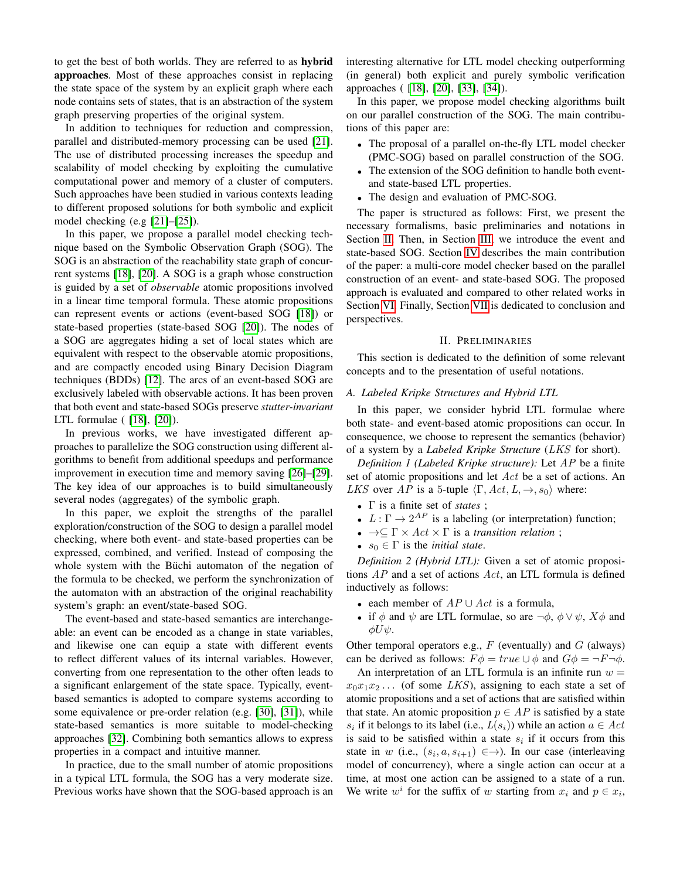to get the best of both worlds. They are referred to as hybrid approaches. Most of these approaches consist in replacing the state space of the system by an explicit graph where each node contains sets of states, that is an abstraction of the system graph preserving properties of the original system.

In addition to techniques for reduction and compression, parallel and distributed-memory processing can be used [21]. The use of distributed processing increases the speedup and scalability of model checking by exploiting the cumulative computational power and memory of a cluster of computers. Such approaches have been studied in various contexts leading to different proposed solutions for both symbolic and explicit model checking (e.g [21]–[25]).

In this paper, we propose a parallel model checking technique based on the Symbolic Observation Graph (SOG). The SOG is an abstraction of the reachability state graph of concurrent systems [18], [20]. A SOG is a graph whose construction is guided by a set of *observable* atomic propositions involved in a linear time temporal formula. These atomic propositions can represent events or actions (event-based SOG [18]) or state-based properties (state-based SOG [20]). The nodes of a SOG are aggregates hiding a set of local states which are equivalent with respect to the observable atomic propositions, and are compactly encoded using Binary Decision Diagram techniques (BDDs) [12]. The arcs of an event-based SOG are exclusively labeled with observable actions. It has been proven that both event and state-based SOGs preserve *stutter-invariant* LTL formulae ( [18], [20]).

In previous works, we have investigated different approaches to parallelize the SOG construction using different algorithms to benefit from additional speedups and performance improvement in execution time and memory saving [26]–[29]. The key idea of our approaches is to build simultaneously several nodes (aggregates) of the symbolic graph.

In this paper, we exploit the strengths of the parallel exploration/construction of the SOG to design a parallel model checking, where both event- and state-based properties can be expressed, combined, and verified. Instead of composing the whole system with the Büchi automaton of the negation of the formula to be checked, we perform the synchronization of the automaton with an abstraction of the original reachability system's graph: an event/state-based SOG.

The event-based and state-based semantics are interchangeable: an event can be encoded as a change in state variables, and likewise one can equip a state with different events to reflect different values of its internal variables. However, converting from one representation to the other often leads to a significant enlargement of the state space. Typically, eventbased semantics is adopted to compare systems according to some equivalence or pre-order relation (e.g. [30], [31]), while state-based semantics is more suitable to model-checking approaches [32]. Combining both semantics allows to express properties in a compact and intuitive manner.

In practice, due to the small number of atomic propositions in a typical LTL formula, the SOG has a very moderate size. Previous works have shown that the SOG-based approach is an interesting alternative for LTL model checking outperforming (in general) both explicit and purely symbolic verification approaches ( [18], [20], [33], [34]).

In this paper, we propose model checking algorithms built on our parallel construction of the SOG. The main contributions of this paper are:

- The proposal of a parallel on-the-fly LTL model checker (PMC-SOG) based on parallel construction of the SOG.
- The extension of the SOG definition to handle both eventand state-based LTL properties.
- The design and evaluation of PMC-SOG.

The paper is structured as follows: First, we present the necessary formalisms, basic preliminaries and notations in Section II. Then, in Section III, we introduce the event and state-based SOG. Section IV describes the main contribution of the paper: a multi-core model checker based on the parallel construction of an event- and state-based SOG. The proposed approach is evaluated and compared to other related works in Section VI. Finally, Section VII is dedicated to conclusion and perspectives.

## II. PRELIMINARIES

This section is dedicated to the definition of some relevant concepts and to the presentation of useful notations.

## *A. Labeled Kripke Structures and Hybrid LTL*

In this paper, we consider hybrid LTL formulae where both state- and event-based atomic propositions can occur. In consequence, we choose to represent the semantics (behavior) of a system by a *Labeled Kripke Structure* (LKS for short).

*Definition 1 (Labeled Kripke structure):* Let AP be a finite set of atomic propositions and let Act be a set of actions. An *LKS* over AP is a 5-tuple  $\langle \Gamma, Act, L, \rightarrow, s_0 \rangle$  where:

- Γ is a finite set of *states* ;
- $L: \Gamma \to 2^{AP}$  is a labeling (or interpretation) function;
- $\bullet \ \rightarrow \subseteq \Gamma \times Act \times \Gamma$  is a *transition relation*;
- $s_0 \in \Gamma$  is the *initial state*.

*Definition 2 (Hybrid LTL):* Given a set of atomic propositions  $AP$  and a set of actions  $Act$ , an LTL formula is defined inductively as follows:

- each member of  $AP \cup Act$  is a formula,
- if  $\phi$  and  $\psi$  are LTL formulae, so are  $\neg \phi$ ,  $\phi \lor \psi$ ,  $X\phi$  and  $\phi U \psi$ .

Other temporal operators e.g.,  $F$  (eventually) and  $G$  (always) can be derived as follows:  $F\phi = true \cup \phi$  and  $G\phi = \neg F \neg \phi$ .

An interpretation of an LTL formula is an infinite run  $w =$  $x_0x_1x_2...$  (of some LKS), assigning to each state a set of atomic propositions and a set of actions that are satisfied within that state. An atomic proposition  $p \in AP$  is satisfied by a state  $s_i$  if it belongs to its label (i.e.,  $L(s_i)$ ) while an action  $a \in Act$ is said to be satisfied within a state  $s_i$  if it occurs from this state in w (i.e.,  $(s_i, a, s_{i+1}) \in \rightarrow$ ). In our case (interleaving model of concurrency), where a single action can occur at a time, at most one action can be assigned to a state of a run. We write  $w^i$  for the suffix of w starting from  $x_i$  and  $p \in x_i$ ,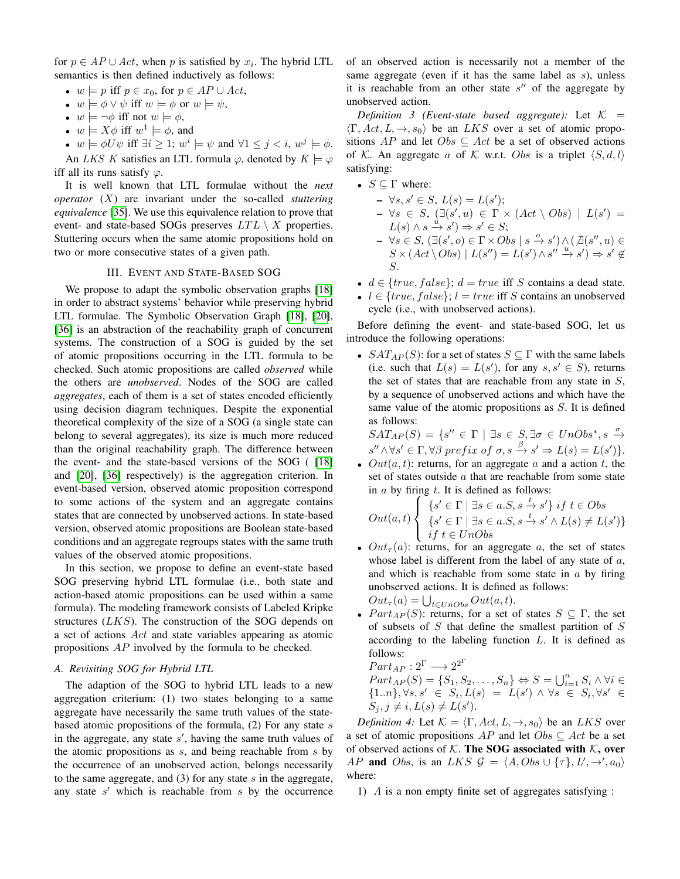for  $p \in AP \cup Act$ , when p is satisfied by  $x_i$ . The hybrid LTL semantics is then defined inductively as follows:

- $w \models p$  iff  $p \in x_0$ , for  $p \in AP \cup Act$ ,
- $w \models \phi \lor \psi$  iff  $w \models \phi$  or  $w \models \psi$ ,
- $w \models \neg \phi$  iff not  $w \models \phi$ ,
- $w \models X\phi$  iff  $w^1 \models \phi$ , and

•  $w \models \phi U \psi$  iff  $\exists i \geq 1$ ;  $w^i \models \psi$  and  $\forall 1 \leq j < i$ ,  $w^j \models \phi$ . An LKS K satisfies an LTL formula  $\varphi$ , denoted by  $K \models \varphi$ iff all its runs satisfy  $\varphi$ .

It is well known that LTL formulae without the *next operator* (X) are invariant under the so-called *stuttering equivalence* [35]. We use this equivalence relation to prove that event- and state-based SOGs preserves  $LTL \setminus X$  properties. Stuttering occurs when the same atomic propositions hold on two or more consecutive states of a given path.

## III. EVENT AND STATE-BASED SOG

We propose to adapt the symbolic observation graphs [18] in order to abstract systems' behavior while preserving hybrid LTL formulae. The Symbolic Observation Graph [18], [20], [36] is an abstraction of the reachability graph of concurrent systems. The construction of a SOG is guided by the set of atomic propositions occurring in the LTL formula to be checked. Such atomic propositions are called *observed* while the others are *unobserved*. Nodes of the SOG are called *aggregates*, each of them is a set of states encoded efficiently using decision diagram techniques. Despite the exponential theoretical complexity of the size of a SOG (a single state can belong to several aggregates), its size is much more reduced than the original reachability graph. The difference between the event- and the state-based versions of the SOG ( [18] and [20], [36] respectively) is the aggregation criterion. In event-based version, observed atomic proposition correspond to some actions of the system and an aggregate contains states that are connected by unobserved actions. In state-based version, observed atomic propositions are Boolean state-based conditions and an aggregate regroups states with the same truth values of the observed atomic propositions.

In this section, we propose to define an event-state based SOG preserving hybrid LTL formulae (i.e., both state and action-based atomic propositions can be used within a same formula). The modeling framework consists of Labeled Kripke structures  $(LKS)$ . The construction of the SOG depends on a set of actions Act and state variables appearing as atomic propositions AP involved by the formula to be checked.

## *A. Revisiting SOG for Hybrid LTL*

The adaption of the SOG to hybrid LTL leads to a new aggregation criterium: (1) two states belonging to a same aggregate have necessarily the same truth values of the statebased atomic propositions of the formula,  $(2)$  For any state s in the aggregate, any state  $s'$ , having the same truth values of the atomic propositions as  $s$ , and being reachable from  $s$  by the occurrence of an unobserved action, belongs necessarily to the same aggregate, and  $(3)$  for any state s in the aggregate, any state  $s'$  which is reachable from  $s$  by the occurrence of an observed action is necessarily not a member of the same aggregate (even if it has the same label as s), unless it is reachable from an other state  $s''$  of the aggregate by unobserved action.

*Definition 3 (Event-state based aggregate):* Let  $K =$  $\langle \Gamma, Act, L, \rightarrow, s_0 \rangle$  be an LKS over a set of atomic propositions AP and let  $Obs \subseteq Act$  be a set of observed actions of K. An aggregate a of K w.r.t. Obs is a triplet  $\langle S, d, l \rangle$ satisfying:

• 
$$
S \subseteq \Gamma
$$
 where:

- $\forall s, s' \in S, L(s) = L(s');$  $- \forall s \in S, (\exists (s', u) \in \Gamma \times (Act \setminus Obs) \mid L(s') =$  $L(s) \wedge s \xrightarrow{\hat{u}} s' \Rightarrow s' \in S;$  $- \forall s \in S, (\exists (s', o) \in \Gamma \times Obs \mid s \stackrel{o}{\rightarrow} s') \land (\not\exists (s'', u) \in$  $S \times (Act \setminus Obs) | L(s'') = L(s') \wedge s'' \stackrel{u \to s'}{\rightarrow} s' \neq$ S.
- $d \in \{true, false\}; d = true \text{ iff } S \text{ contains a dead state.}$
- $l \in \{true, false\}; l = true$  iff S contains an unobserved cycle (i.e., with unobserved actions).

Before defining the event- and state-based SOG, let us introduce the following operations:

•  $SAT_{AP}(S)$ : for a set of states  $S \subseteq \Gamma$  with the same labels (i.e. such that  $L(s) = L(s')$ , for any  $s, s' \in S$ ), returns the set of states that are reachable from any state in  $S$ , by a sequence of unobserved actions and which have the same value of the atomic propositions as S. It is defined as follows:

$$
SAT_{AP}(S) = \{s'' \in \Gamma \mid \exists s \in S, \exists \sigma \in UnObs^*, s \xrightarrow{\sigma} \text{ } s'' \land \forall s' \in \Gamma, \forall \beta \text{ prefix of } \sigma, s \xrightarrow{\beta} s' \Rightarrow L(s) = L(s')\}.
$$

•  $Out(a, t)$ : returns, for an aggregate a and a action t, the set of states outside  $a$  that are reachable from some state in  $a$  by firing  $t$ . It is defined as follows:

$$
Out(a,t) \begin{cases} \{s' \in \Gamma \mid \exists s \in a.S, s \xrightarrow{t} s'\} \; if \; t \in Obs \\ \{s' \in \Gamma \mid \exists s \in a.S, s \xrightarrow{t} s' \land L(s) \neq L(s')\} \\ \; if \; t \in UnObs \end{cases}
$$

•  $Out_\tau(a)$ : returns, for an aggregate a, the set of states whose label is different from the label of any state of  $a$ , and which is reachable from some state in  $a$  by firing unobserved actions. It is defined as follows:  $Q_{\alpha\mu}$   $(a)$ 

$$
Out_{\tau}(a) = \bigcup_{t \in UnObs} Out(a, t).
$$

•  $Part_{AP}(S)$ : returns, for a set of states  $S \subseteq \Gamma$ , the set of subsets of  $S$  that define the smallest partition of  $S$ according to the labeling function  $L$ . It is defined as follows:

 $Part_{AP}: 2^{\Gamma} \longrightarrow 2^{2^{\Gamma}}$ 

 $Part_{AP}(S) = \{S_1, S_2, \ldots, S_n\} \Leftrightarrow S = \bigcup_{i=1}^n S_i \wedge \forall i \in$  ${1..n}, \forall s, s' \in S_i, L(s) = L(s') \land \forall s \in S_i, \forall s' \in$  $S_j, j \neq i, L(s) \neq L(s').$ 

*Definition 4:* Let  $K = \langle \Gamma, Act, L, \rightarrow, s_0 \rangle$  be an LKS over a set of atomic propositions  $AP$  and let  $Obs \subseteq Act$  be a set of observed actions of  $K$ . The SOG associated with  $K$ , over AP and Obs, is an LKS  $\mathcal{G} = \langle A, Obs \cup \{\tau\}, L', \rightarrow', a_0 \rangle$ where:

1) A is a non empty finite set of aggregates satisfying :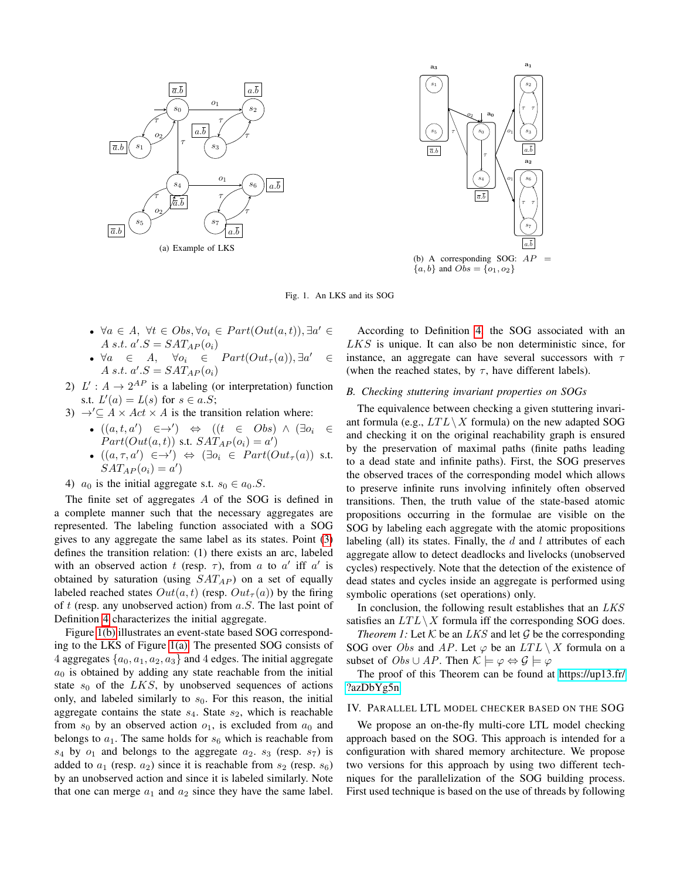



Fig. 1. An LKS and its SOG

- $\forall a \in A, \ \forall t \in Obs, \forall o_i \in Part(Out(a, t)), \exists a' \in$ A s.t.  $a'.S = SAT_{AP}(o_i)$
- $\forall a \in A, \forall o_i \in Part(Out_\tau(a)), \exists a'$  $\in$ A s.t.  $a'.S = SAT_{AP}(o_i)$
- 2)  $L' : A \rightarrow 2^{AP}$  is a labeling (or interpretation) function s.t.  $L'(a) = L(s)$  for  $s \in a.S;$
- 3)  $\rightarrow' \subseteq A \times Act \times A$  is the transition relation where:
	- $((a, t, a') \in \rightarrow') \Leftrightarrow ((t \in Obs) \land (\exists o_i \in$  $Part(Out(a, t))$  s.t.  $SAT_{AP}(o_i) = a')$
	- $((a, \tau, a') \in \rightarrow') \Leftrightarrow (\exists o_i \in Part(Out_{\tau}(a))$  s.t.  $SAT_{AP}(o_i) = a')$
- 4)  $a_0$  is the initial aggregate s.t.  $s_0 \in a_0.S$ .

The finite set of aggregates A of the SOG is defined in a complete manner such that the necessary aggregates are represented. The labeling function associated with a SOG gives to any aggregate the same label as its states. Point (3) defines the transition relation: (1) there exists an arc, labeled with an observed action t (resp.  $\tau$ ), from a to a' iff a' is obtained by saturation (using  $SAT_{AP}$ ) on a set of equally labeled reached states  $Out(a, t)$  (resp.  $Out_{\tau}(a)$ ) by the firing of t (resp. any unobserved action) from  $a.S$ . The last point of Definition 4 characterizes the initial aggregate.

Figure 1(b) illustrates an event-state based SOG corresponding to the LKS of Figure 1(a). The presented SOG consists of 4 aggregates  $\{a_0, a_1, a_2, a_3\}$  and 4 edges. The initial aggregate  $a_0$  is obtained by adding any state reachable from the initial state  $s_0$  of the LKS, by unobserved sequences of actions only, and labeled similarly to  $s_0$ . For this reason, the initial aggregate contains the state  $s_4$ . State  $s_2$ , which is reachable from  $s_0$  by an observed action  $o_1$ , is excluded from  $a_0$  and belongs to  $a_1$ . The same holds for  $s_6$  which is reachable from  $s_4$  by  $o_1$  and belongs to the aggregate  $a_2$ .  $s_3$  (resp.  $s_7$ ) is added to  $a_1$  (resp.  $a_2$ ) since it is reachable from  $s_2$  (resp.  $s_6$ ) by an unobserved action and since it is labeled similarly. Note that one can merge  $a_1$  and  $a_2$  since they have the same label.

According to Definition 4, the SOG associated with an LKS is unique. It can also be non deterministic since, for instance, an aggregate can have several successors with  $\tau$ (when the reached states, by  $\tau$ , have different labels).

#### *B. Checking stuttering invariant properties on SOGs*

The equivalence between checking a given stuttering invariant formula (e.g.,  $LTL\setminus X$  formula) on the new adapted SOG and checking it on the original reachability graph is ensured by the preservation of maximal paths (finite paths leading to a dead state and infinite paths). First, the SOG preserves the observed traces of the corresponding model which allows to preserve infinite runs involving infinitely often observed transitions. Then, the truth value of the state-based atomic propositions occurring in the formulae are visible on the SOG by labeling each aggregate with the atomic propositions labeling (all) its states. Finally, the  $d$  and  $l$  attributes of each aggregate allow to detect deadlocks and livelocks (unobserved cycles) respectively. Note that the detection of the existence of dead states and cycles inside an aggregate is performed using symbolic operations (set operations) only.

In conclusion, the following result establishes that an LKS satisfies an  $LTL \setminus X$  formula iff the corresponding SOG does.

*Theorem 1:* Let  $K$  be an *LKS* and let  $G$  be the corresponding SOG over *Obs* and AP. Let  $\varphi$  be an  $LTL \setminus X$  formula on a subset of  $Obs \cup AP$ . Then  $K \models \varphi \Leftrightarrow \mathcal{G} \models \varphi$ 

The proof of this Theorem can be found at [https://up13.fr/](https://up13.fr/?azDbYg5n) [?azDbYg5n.](https://up13.fr/?azDbYg5n)

## IV. PARALLEL LTL MODEL CHECKER BASED ON THE SOG

We propose an on-the-fly multi-core LTL model checking approach based on the SOG. This approach is intended for a configuration with shared memory architecture. We propose two versions for this approach by using two different techniques for the parallelization of the SOG building process. First used technique is based on the use of threads by following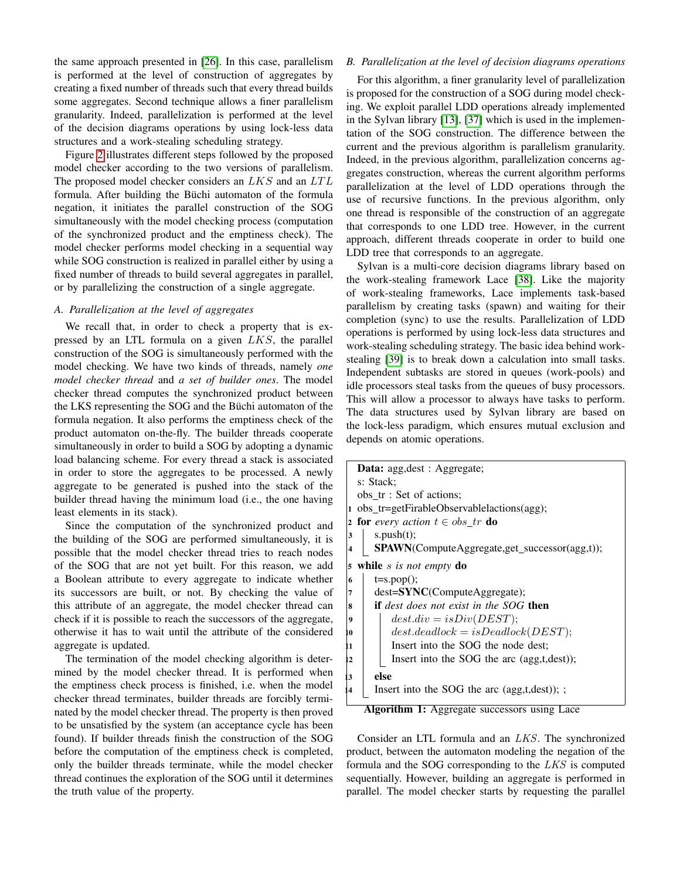the same approach presented in [26]. In this case, parallelism is performed at the level of construction of aggregates by creating a fixed number of threads such that every thread builds some aggregates. Second technique allows a finer parallelism granularity. Indeed, parallelization is performed at the level of the decision diagrams operations by using lock-less data structures and a work-stealing scheduling strategy.

Figure 2 illustrates different steps followed by the proposed model checker according to the two versions of parallelism. The proposed model checker considers an  $LKS$  and an  $LTL$ formula. After building the Büchi automaton of the formula negation, it initiates the parallel construction of the SOG simultaneously with the model checking process (computation of the synchronized product and the emptiness check). The model checker performs model checking in a sequential way while SOG construction is realized in parallel either by using a fixed number of threads to build several aggregates in parallel, or by parallelizing the construction of a single aggregate.

## *A. Parallelization at the level of aggregates*

We recall that, in order to check a property that is expressed by an LTL formula on a given  $LKS$ , the parallel construction of the SOG is simultaneously performed with the model checking. We have two kinds of threads, namely *one model checker thread* and *a set of builder ones*. The model checker thread computes the synchronized product between the LKS representing the SOG and the Büchi automaton of the formula negation. It also performs the emptiness check of the product automaton on-the-fly. The builder threads cooperate simultaneously in order to build a SOG by adopting a dynamic load balancing scheme. For every thread a stack is associated in order to store the aggregates to be processed. A newly aggregate to be generated is pushed into the stack of the builder thread having the minimum load (i.e., the one having least elements in its stack).

Since the computation of the synchronized product and the building of the SOG are performed simultaneously, it is possible that the model checker thread tries to reach nodes of the SOG that are not yet built. For this reason, we add a Boolean attribute to every aggregate to indicate whether its successors are built, or not. By checking the value of this attribute of an aggregate, the model checker thread can check if it is possible to reach the successors of the aggregate, otherwise it has to wait until the attribute of the considered aggregate is updated.

The termination of the model checking algorithm is determined by the model checker thread. It is performed when the emptiness check process is finished, i.e. when the model checker thread terminates, builder threads are forcibly terminated by the model checker thread. The property is then proved to be unsatisfied by the system (an acceptance cycle has been found). If builder threads finish the construction of the SOG before the computation of the emptiness check is completed, only the builder threads terminate, while the model checker thread continues the exploration of the SOG until it determines the truth value of the property.

## *B. Parallelization at the level of decision diagrams operations*

For this algorithm, a finer granularity level of parallelization is proposed for the construction of a SOG during model checking. We exploit parallel LDD operations already implemented in the Sylvan library [13], [37] which is used in the implementation of the SOG construction. The difference between the current and the previous algorithm is parallelism granularity. Indeed, in the previous algorithm, parallelization concerns aggregates construction, whereas the current algorithm performs parallelization at the level of LDD operations through the use of recursive functions. In the previous algorithm, only one thread is responsible of the construction of an aggregate that corresponds to one LDD tree. However, in the current approach, different threads cooperate in order to build one LDD tree that corresponds to an aggregate.

Sylvan is a multi-core decision diagrams library based on the work-stealing framework Lace [38]. Like the majority of work-stealing frameworks, Lace implements task-based parallelism by creating tasks (spawn) and waiting for their completion (sync) to use the results. Parallelization of LDD operations is performed by using lock-less data structures and work-stealing scheduling strategy. The basic idea behind workstealing [39] is to break down a calculation into small tasks. Independent subtasks are stored in queues (work-pools) and idle processors steal tasks from the queues of busy processors. This will allow a processor to always have tasks to perform. The data structures used by Sylvan library are based on the lock-less paradigm, which ensures mutual exclusion and depends on atomic operations.

| <b>Data:</b> agg, dest: Aggregate;                         |
|------------------------------------------------------------|
| s: Stack;                                                  |
| obs tr: Set of actions;                                    |
| 1 obs tr=getFirableObservablelactions(agg);                |
| 2 for every action $t \in obs\_tr$ do                      |
| s.push(t);<br>3                                            |
| <b>SPAWN</b> (ComputeAggregate,get_successor(agg,t));<br>4 |
| while $s$ is not empty do<br>5                             |
| $t = s.pop()$ ;<br>6                                       |
| dest=SYNC(ComputeAggregate);<br>7                          |
| <b>if</b> dest does not exist in the SOG <b>then</b><br>8  |
| $dest. div = isDiv(DEST);$<br>9                            |
| $dest.deadlock = isDeadlock(DEST);$<br>10                  |
| Insert into the SOG the node dest;<br>11                   |
| Insert into the SOG the arc $(agg, t, dest)$ ;<br>12       |
| else<br>13                                                 |
| Insert into the SOG the arc (agg,t,dest)); ;<br>14         |
| <b>Algorithm 1:</b> Aggregate successors using Lace        |

Consider an LTL formula and an LKS. The synchronized product, between the automaton modeling the negation of the formula and the SOG corresponding to the LKS is computed sequentially. However, building an aggregate is performed in parallel. The model checker starts by requesting the parallel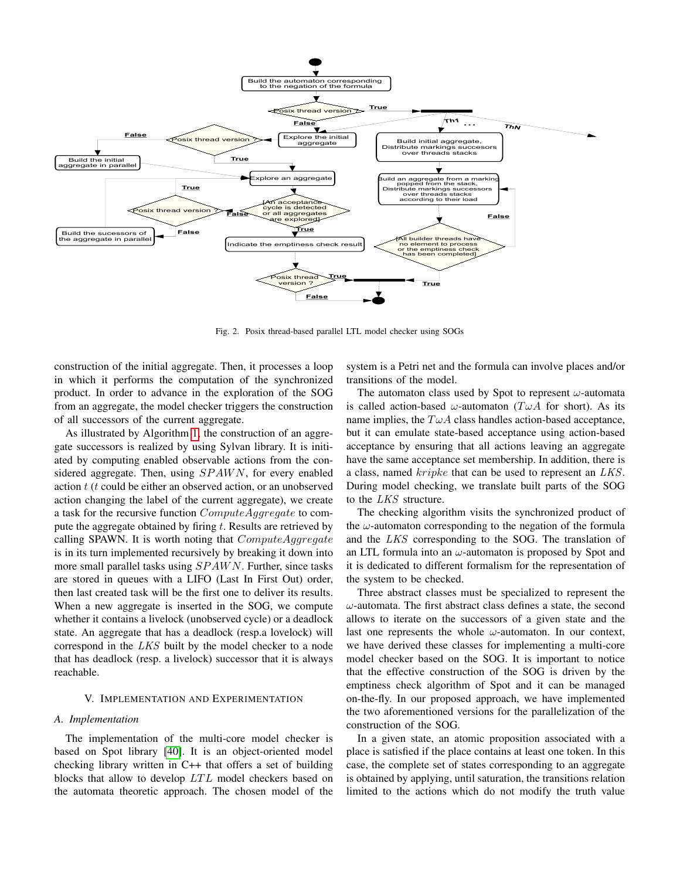

Fig. 2. Posix thread-based parallel LTL model checker using SOGs

construction of the initial aggregate. Then, it processes a loop in which it performs the computation of the synchronized product. In order to advance in the exploration of the SOG from an aggregate, the model checker triggers the construction of all successors of the current aggregate.

As illustrated by Algorithm 1, the construction of an aggregate successors is realized by using Sylvan library. It is initiated by computing enabled observable actions from the considered aggregate. Then, using  $SPAWN$ , for every enabled action  $t$  ( $t$  could be either an observed action, or an unobserved action changing the label of the current aggregate), we create a task for the recursive function ComputeAggregate to compute the aggregate obtained by firing  $t$ . Results are retrieved by calling SPAWN. It is worth noting that ComputeAggregate is in its turn implemented recursively by breaking it down into more small parallel tasks using SPAWN. Further, since tasks are stored in queues with a LIFO (Last In First Out) order, then last created task will be the first one to deliver its results. When a new aggregate is inserted in the SOG, we compute whether it contains a livelock (unobserved cycle) or a deadlock state. An aggregate that has a deadlock (resp.a lovelock) will correspond in the LKS built by the model checker to a node that has deadlock (resp. a livelock) successor that it is always reachable.

#### V. IMPLEMENTATION AND EXPERIMENTATION

### *A. Implementation*

The implementation of the multi-core model checker is based on Spot library [40]. It is an object-oriented model checking library written in C++ that offers a set of building blocks that allow to develop LTL model checkers based on the automata theoretic approach. The chosen model of the

system is a Petri net and the formula can involve places and/or transitions of the model.

The automaton class used by Spot to represent  $\omega$ -automata is called action-based  $\omega$ -automaton (T $\omega A$  for short). As its name implies, the  $T \omega A$  class handles action-based acceptance, but it can emulate state-based acceptance using action-based acceptance by ensuring that all actions leaving an aggregate have the same acceptance set membership. In addition, there is a class, named kripke that can be used to represent an LKS. During model checking, we translate built parts of the SOG to the LKS structure.

The checking algorithm visits the synchronized product of the  $\omega$ -automaton corresponding to the negation of the formula and the LKS corresponding to the SOG. The translation of an LTL formula into an  $\omega$ -automaton is proposed by Spot and it is dedicated to different formalism for the representation of the system to be checked.

Three abstract classes must be specialized to represent the  $\omega$ -automata. The first abstract class defines a state, the second allows to iterate on the successors of a given state and the last one represents the whole  $\omega$ -automaton. In our context, we have derived these classes for implementing a multi-core model checker based on the SOG. It is important to notice that the effective construction of the SOG is driven by the emptiness check algorithm of Spot and it can be managed on-the-fly. In our proposed approach, we have implemented the two aforementioned versions for the parallelization of the construction of the SOG.

In a given state, an atomic proposition associated with a place is satisfied if the place contains at least one token. In this case, the complete set of states corresponding to an aggregate is obtained by applying, until saturation, the transitions relation limited to the actions which do not modify the truth value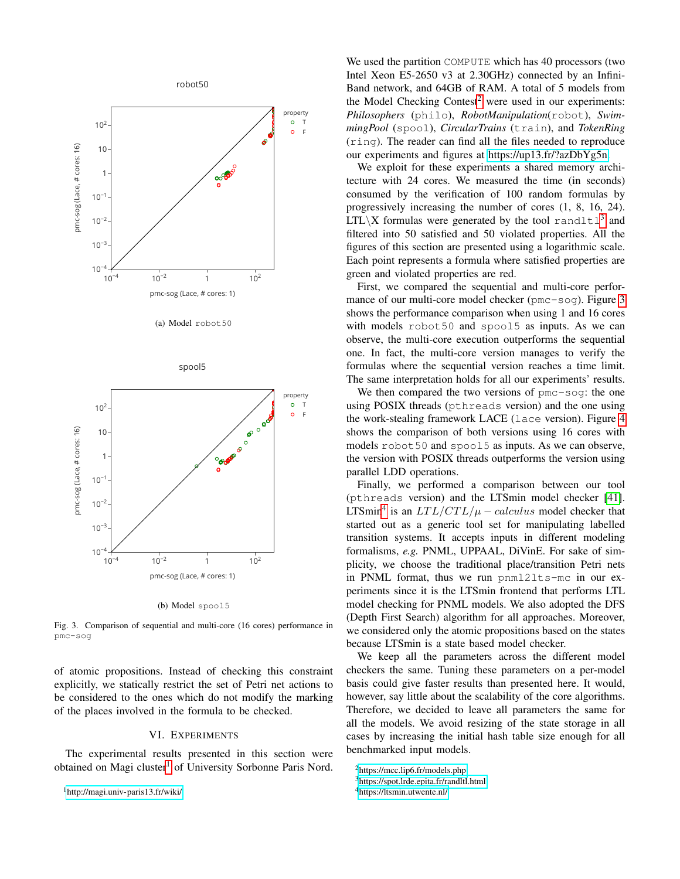

(a) Model robot50







Fig. 3. Comparison of sequential and multi-core (16 cores) performance in pmc-sog

of atomic propositions. Instead of checking this constraint explicitly, we statically restrict the set of Petri net actions to be considered to the ones which do not modify the marking of the places involved in the formula to be checked.

### VI. EXPERIMENTS

The experimental results presented in this section were obtained on Magi cluster<sup>1</sup> of University Sorbonne Paris Nord.

<sup>1</sup><http://magi.univ-paris13.fr/wiki/>

We used the partition COMPUTE which has 40 processors (two Intel Xeon E5-2650 v3 at 2.30GHz) connected by an Infini-Band network, and 64GB of RAM. A total of 5 models from the Model Checking Contest<sup>2</sup> were used in our experiments: *Philosophers* (philo), *RobotManipulation*(robot), *SwimmingPool* (spool), *CircularTrains* (train), and *TokenRing* (ring). The reader can find all the files needed to reproduce our experiments and figures at [https://up13.fr/?azDbYg5n.](https://up13.fr/?azDbYg5n)

We exploit for these experiments a shared memory architecture with 24 cores. We measured the time (in seconds) consumed by the verification of 100 random formulas by progressively increasing the number of cores (1, 8, 16, 24).  $LTL\backslash X$  formulas were generated by the tool randltl<sup>3</sup> and filtered into 50 satisfied and 50 violated properties. All the figures of this section are presented using a logarithmic scale. Each point represents a formula where satisfied properties are green and violated properties are red.

First, we compared the sequential and multi-core performance of our multi-core model checker (pmc-soq). Figure 3 shows the performance comparison when using 1 and 16 cores with models robot50 and spool5 as inputs. As we can observe, the multi-core execution outperforms the sequential one. In fact, the multi-core version manages to verify the formulas where the sequential version reaches a time limit. The same interpretation holds for all our experiments' results.

We then compared the two versions of pmc-sog: the one using POSIX threads (pthreads version) and the one using the work-stealing framework LACE (lace version). Figure 4 shows the comparison of both versions using 16 cores with models robot 50 and spool 5 as inputs. As we can observe, the version with POSIX threads outperforms the version using parallel LDD operations.

Finally, we performed a comparison between our tool (pthreads version) and the LTSmin model checker [41]. LTSmin<sup>4</sup> is an  $LTL/CTL/\mu - \text{calculus}$  model checker that started out as a generic tool set for manipulating labelled transition systems. It accepts inputs in different modeling formalisms, *e.g.* PNML, UPPAAL, DiVinE. For sake of simplicity, we choose the traditional place/transition Petri nets in PNML format, thus we run pnml2lts-mc in our experiments since it is the LTSmin frontend that performs LTL model checking for PNML models. We also adopted the DFS (Depth First Search) algorithm for all approaches. Moreover, we considered only the atomic propositions based on the states because LTSmin is a state based model checker.

We keep all the parameters across the different model checkers the same. Tuning these parameters on a per-model basis could give faster results than presented here. It would, however, say little about the scalability of the core algorithms. Therefore, we decided to leave all parameters the same for all the models. We avoid resizing of the state storage in all cases by increasing the initial hash table size enough for all benchmarked input models.

<sup>2</sup><https://mcc.lip6.fr/models.php>

<sup>3</sup><https://spot.lrde.epita.fr/randltl.html>

<sup>4</sup><https://ltsmin.utwente.nl/>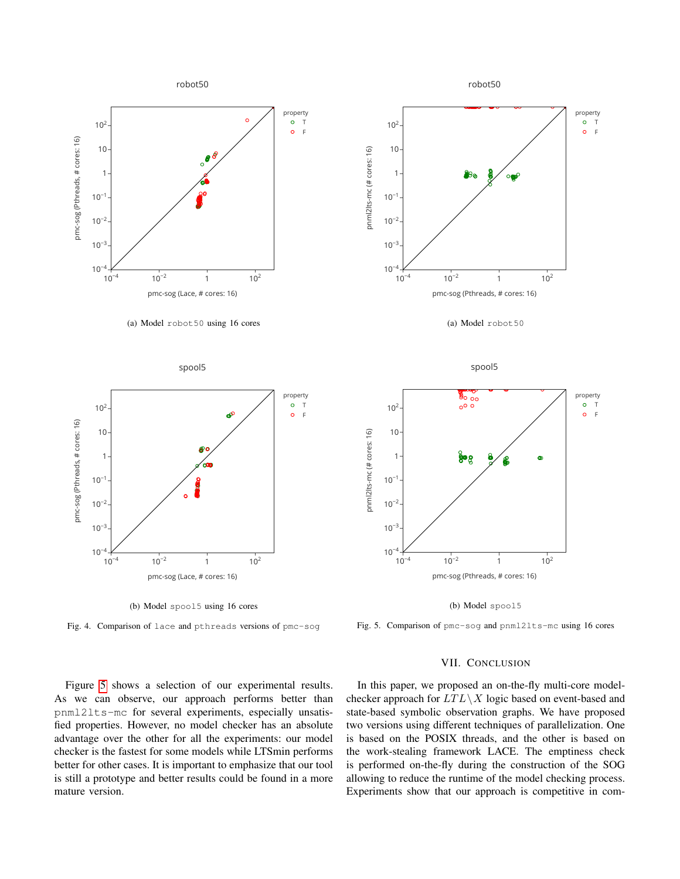

(a) Model robot50 using 16 cores



(b) Model spool5 using 16 cores

Fig. 4. Comparison of lace and pthreads versions of pmc-sog









Fig. 5. Comparison of pmc-sog and pnml2lts-mc using 16 cores

VII. CONCLUSION

## Figure 5 shows a selection of our experimental results. As we can observe, our approach performs better than pnml2lts-mc for several experiments, especially unsatisfied properties. However, no model checker has an absolute advantage over the other for all the experiments: our model checker is the fastest for some models while LTSmin performs better for other cases. It is important to emphasize that our tool is still a prototype and better results could be found in a more mature version.

## In this paper, we proposed an on-the-fly multi-core modelchecker approach for  $LTL\setminus X$  logic based on event-based and state-based symbolic observation graphs. We have proposed two versions using different techniques of parallelization. One is based on the POSIX threads, and the other is based on the work-stealing framework LACE. The emptiness check is performed on-the-fly during the construction of the SOG allowing to reduce the runtime of the model checking process. Experiments show that our approach is competitive in com-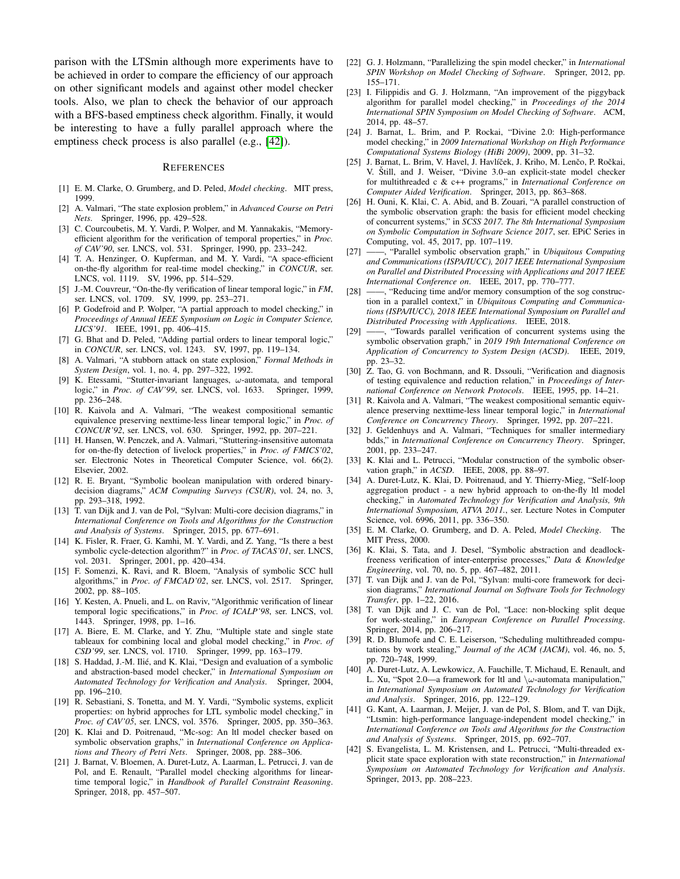parison with the LTSmin although more experiments have to be achieved in order to compare the efficiency of our approach on other significant models and against other model checker tools. Also, we plan to check the behavior of our approach with a BFS-based emptiness check algorithm. Finally, it would be interesting to have a fully parallel approach where the emptiness check process is also parallel (e.g., [42]).

#### **REFERENCES**

- [1] E. M. Clarke, O. Grumberg, and D. Peled, *Model checking*. MIT press, 1999.
- [2] A. Valmari, "The state explosion problem," in *Advanced Course on Petri Nets*. Springer, 1996, pp. 429–528.
- [3] C. Courcoubetis, M. Y. Vardi, P. Wolper, and M. Yannakakis, "Memoryefficient algorithm for the verification of temporal properties," in *Proc. of CAV'90*, ser. LNCS, vol. 531. Springer, 1990, pp. 233–242.
- [4] T. A. Henzinger, O. Kupferman, and M. Y. Vardi, "A space-efficient on-the-fly algorithm for real-time model checking," in *CONCUR*, ser. LNCS, vol. 1119. SV, 1996, pp. 514–529.
- [5] J.-M. Couvreur, "On-the-fly verification of linear temporal logic," in *FM*, ser. LNCS, vol. 1709. SV, 1999, pp. 253–271.
- [6] P. Godefroid and P. Wolper, "A partial approach to model checking," in *Proceedings of Annual IEEE Symposium on Logic in Computer Science, LICS'91*. IEEE, 1991, pp. 406–415.
- [7] G. Bhat and D. Peled, "Adding partial orders to linear temporal logic," in *CONCUR*, ser. LNCS, vol. 1243. SV, 1997, pp. 119–134.
- [8] A. Valmari, "A stubborn attack on state explosion," *Formal Methods in System Design*, vol. 1, no. 4, pp. 297–322, 1992.
- [9] K. Etessami, "Stutter-invariant languages,  $\omega$ -automata, and temporal logic," in *Proc. of CAV'99*, ser. LNCS, vol. 1633. Springer, 1999, pp. 236–248.
- [10] R. Kaivola and A. Valmari, "The weakest compositional semantic equivalence preserving nexttime-less linear temporal logic," in *Proc. of CONCUR'92*, ser. LNCS, vol. 630. Springer, 1992, pp. 207–221.
- [11] H. Hansen, W. Penczek, and A. Valmari, "Stuttering-insensitive automata for on-the-fly detection of livelock properties," in *Proc. of FMICS'02*, ser. Electronic Notes in Theoretical Computer Science, vol. 66(2). Elsevier, 2002.
- [12] R. E. Bryant, "Symbolic boolean manipulation with ordered binarydecision diagrams," *ACM Computing Surveys (CSUR)*, vol. 24, no. 3, pp. 293–318, 1992.
- [13] T. van Dijk and J. van de Pol, "Sylvan: Multi-core decision diagrams," in *International Conference on Tools and Algorithms for the Construction and Analysis of Systems*. Springer, 2015, pp. 677–691.
- [14] K. Fisler, R. Fraer, G. Kamhi, M. Y. Vardi, and Z. Yang, "Is there a best symbolic cycle-detection algorithm?" in *Proc. of TACAS'01*, ser. LNCS, vol. 2031. Springer, 2001, pp. 420–434.
- [15] F. Somenzi, K. Ravi, and R. Bloem, "Analysis of symbolic SCC hull algorithms," in *Proc. of FMCAD'02*, ser. LNCS, vol. 2517. Springer, 2002, pp. 88–105.
- [16] Y. Kesten, A. Pnueli, and L. on Raviv, "Algorithmic verification of linear temporal logic specifications," in *Proc. of ICALP'98*, ser. LNCS, vol. 1443. Springer, 1998, pp. 1–16.
- [17] A. Biere, E. M. Clarke, and Y. Zhu, "Multiple state and single state tableaux for combining local and global model checking," in *Proc. of CSD'99*, ser. LNCS, vol. 1710. Springer, 1999, pp. 163–179.
- [18] S. Haddad, J.-M. Ilié, and K. Klai, "Design and evaluation of a symbolic and abstraction-based model checker," in *International Symposium on Automated Technology for Verification and Analysis*. Springer, 2004, pp. 196–210.
- [19] R. Sebastiani, S. Tonetta, and M. Y. Vardi, "Symbolic systems, explicit properties: on hybrid approches for LTL symbolic model checking," in *Proc. of CAV'05*, ser. LNCS, vol. 3576. Springer, 2005, pp. 350–363.
- [20] K. Klai and D. Poitrenaud, "Mc-sog: An ltl model checker based on symbolic observation graphs," in *International Conference on Applications and Theory of Petri Nets*. Springer, 2008, pp. 288–306.
- [21] J. Barnat, V. Bloemen, A. Duret-Lutz, A. Laarman, L. Petrucci, J. van de Pol, and E. Renault, "Parallel model checking algorithms for lineartime temporal logic," in *Handbook of Parallel Constraint Reasoning*. Springer, 2018, pp. 457–507.
- [22] G. J. Holzmann, "Parallelizing the spin model checker," in *International SPIN Workshop on Model Checking of Software*. Springer, 2012, pp. 155–171.
- [23] I. Filippidis and G. J. Holzmann, "An improvement of the piggyback algorithm for parallel model checking," in *Proceedings of the 2014 International SPIN Symposium on Model Checking of Software*. ACM, 2014, pp. 48–57.
- [24] J. Barnat, L. Brim, and P. Rockai, "Divine 2.0: High-performance model checking," in *2009 International Workshop on High Performance Computational Systems Biology (HiBi 2009)*, 2009, pp. 31–32.
- [25] J. Barnat, L. Brim, V. Havel, J. Havlíček, J. Kriho, M. Lenčo, P. Ročkai, V. Štill, and J. Weiser, "Divine 3.0–an explicit-state model checker for multithreaded c & c++ programs," in *International Conference on Computer Aided Verification*. Springer, 2013, pp. 863–868.
- [26] H. Ouni, K. Klai, C. A. Abid, and B. Zouari, "A parallel construction of the symbolic observation graph: the basis for efficient model checking of concurrent systems," in *SCSS 2017. The 8th International Symposium on Symbolic Computation in Software Science 2017*, ser. EPiC Series in Computing, vol. 45, 2017, pp. 107–119.
- [27] ——, "Parallel symbolic observation graph," in *Ubiquitous Computing and Communications (ISPA/IUCC), 2017 IEEE International Symposium on Parallel and Distributed Processing with Applications and 2017 IEEE International Conference on*. IEEE, 2017, pp. 770–777.
- [28] ——, "Reducing time and/or memory consumption of the sog construction in a parallel context," in *Ubiquitous Computing and Communications (ISPA/IUCC), 2018 IEEE International Symposium on Parallel and Distributed Processing with Applications*. IEEE, 2018.
- [29] ——, "Towards parallel verification of concurrent systems using the symbolic observation graph," in *2019 19th International Conference on Application of Concurrency to System Design (ACSD)*. IEEE, 2019, pp. 23–32.
- [30] Z. Tao, G. von Bochmann, and R. Dssouli, "Verification and diagnosis of testing equivalence and reduction relation," in *Proceedings of International Conference on Network Protocols*. IEEE, 1995, pp. 14–21.
- [31] R. Kaivola and A. Valmari, "The weakest compositional semantic equivalence preserving nexttime-less linear temporal logic," in *International Conference on Concurrency Theory*. Springer, 1992, pp. 207–221.
- [32] J. Geldenhuys and A. Valmari, "Techniques for smaller intermediary bdds," in *International Conference on Concurrency Theory*. Springer, 2001, pp. 233–247.
- [33] K. Klai and L. Petrucci, "Modular construction of the symbolic observation graph," in *ACSD*. IEEE, 2008, pp. 88–97.
- [34] A. Duret-Lutz, K. Klai, D. Poitrenaud, and Y. Thierry-Mieg, "Self-loop aggregation product - a new hybrid approach to on-the-fly ltl model checking," in *Automated Technology for Verification and Analysis, 9th International Symposium, ATVA 2011.*, ser. Lecture Notes in Computer Science, vol. 6996, 2011, pp. 336–350.
- [35] E. M. Clarke, O. Grumberg, and D. A. Peled, *Model Checking*. The MIT Press, 2000.
- [36] K. Klai, S. Tata, and J. Desel, "Symbolic abstraction and deadlockfreeness verification of inter-enterprise processes," *Data & Knowledge Engineering*, vol. 70, no. 5, pp. 467–482, 2011.
- [37] T. van Dijk and J. van de Pol, "Sylvan: multi-core framework for decision diagrams," *International Journal on Software Tools for Technology Transfer*, pp. 1–22, 2016.
- [38] T. van Dijk and J. C. van de Pol, "Lace: non-blocking split deque for work-stealing," in *European Conference on Parallel Processing*. Springer, 2014, pp. 206–217.
- [39] R. D. Blumofe and C. E. Leiserson, "Scheduling multithreaded computations by work stealing," *Journal of the ACM (JACM)*, vol. 46, no. 5, pp. 720–748, 1999.
- [40] A. Duret-Lutz, A. Lewkowicz, A. Fauchille, T. Michaud, E. Renault, and L. Xu, "Spot 2.0—a framework for ltl and  $\omega$ -automata manipulation," in *International Symposium on Automated Technology for Verification and Analysis*. Springer, 2016, pp. 122–129.
- [41] G. Kant, A. Laarman, J. Meijer, J. van de Pol, S. Blom, and T. van Dijk, "Ltsmin: high-performance language-independent model checking," in *International Conference on Tools and Algorithms for the Construction and Analysis of Systems*. Springer, 2015, pp. 692–707.
- [42] S. Evangelista, L. M. Kristensen, and L. Petrucci, "Multi-threaded explicit state space exploration with state reconstruction," in *International Symposium on Automated Technology for Verification and Analysis*. Springer, 2013, pp. 208–223.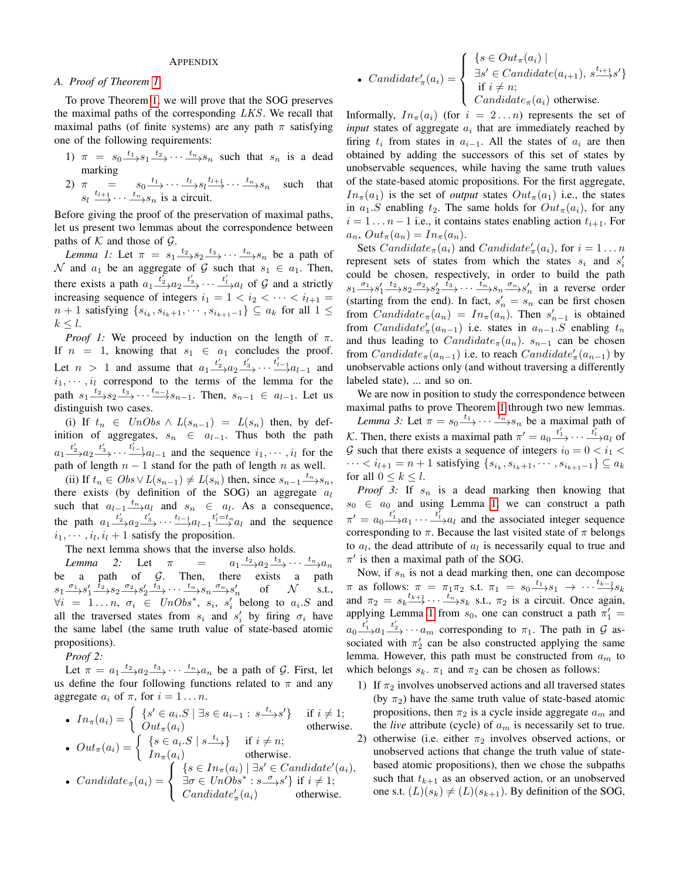## APPENDIX

## *A. Proof of Theorem 1*

To prove Theorem 1, we will prove that the SOG preserves the maximal paths of the corresponding LKS. We recall that maximal paths (of finite systems) are any path  $\pi$  satisfying one of the following requirements:

- 1)  $\pi = s_0 \xrightarrow{t_1} s_1 \xrightarrow{t_2} \cdots \xrightarrow{t_n} s_n$  such that  $s_n$  is a dead marking
- 2)  $\pi$  =  $s_0 \xrightarrow{t_1} \cdots \xrightarrow{t_l} s_l \xrightarrow{t_{l+1}} \cdots \xrightarrow{t_n} s_n$  such that  $s_l \stackrel{t_{l+1}}{\longrightarrow} \cdots \stackrel{t_n}{\longrightarrow} s_n$  is a circuit.

Before giving the proof of the preservation of maximal paths, let us present two lemmas about the correspondence between paths of  $K$  and those of  $G$ .

*Lemma 1:* Let  $\pi = s_1 \xrightarrow{t_2} s_2 \xrightarrow{t_3} \cdots \xrightarrow{t_n} s_n$  be a path of N and  $a_1$  be an aggregate of G such that  $s_1 \in a_1$ . Then, there exists a path  $a_1 \xrightarrow{t_2^r} a_2 \xrightarrow{t_3^r} \cdots \xrightarrow{t_l^r} a_l$  of G and a strictly increasing sequence of integers  $i_1 = 1 < i_2 < \cdots < i_{l+1}$  $n+1$  satisfying  $\{s_{i_k}, s_{i_k+1}, \cdots, s_{i_{k+1}-1}\} \subseteq a_k$  for all  $1 \leq$  $k \leq l$ .

*Proof 1:* We proceed by induction on the length of  $\pi$ . If  $n = 1$ , knowing that  $s_1 \in a_1$  concludes the proof. Let  $n > 1$  and assume that  $a_1 \xrightarrow{t'_2} a_2 \xrightarrow{t'_3} \cdots \xrightarrow{t'_{l-1}} a_{l-1}$  and  $i_1, \dots, i_l$  correspond to the terms of the lemma for the path  $s_1 \xrightarrow{t_2} s_2 \xrightarrow{t_3} \cdots \xrightarrow{t_{n-1}} s_{n-1}$ . Then,  $s_{n-1} \in a_{l-1}$ . Let us distinguish two cases.

(i) If  $t_n \in UnObs \wedge L(s_{n-1}) = L(s_n)$  then, by definition of aggregates,  $s_n \in a_{l-1}$ . Thus both the path  $a_1 \frac{t'_2}{2} a_2 \frac{t'_3}{3} \cdots \frac{t'_{l-1}}{l} a_{l-1}$  and the sequence  $i_1, \dots, i_l$  for the path of length  $n - 1$  stand for the path of length n as well.

(ii) If  $t_n \in Obs \vee L(s_{n-1}) \neq L(s_n)$  then, since  $s_{n-1} \xrightarrow{t_n} s_n$ , there exists (by definition of the SOG) an aggregate  $a_l$ such that  $a_{l-1} \stackrel{t_n}{\longrightarrow} a_l$  and  $s_n \in a_l$ . As a consequence, the path  $a_1 \frac{t'_2}{2} a_2 \frac{t'_3}{3} \cdots \frac{t_{l-1}}{l} a_{l-1} \frac{t'_l = t_n}{3} a_l$  and the sequence  $i_1, \dots, i_l, i_l + 1$  satisfy the proposition.

The next lemma shows that the inverse also holds.

*Lemma* 2: Let  $\pi$  =  $\stackrel{t_2}{\longrightarrow} a_2 \stackrel{t_3}{\longrightarrow} \cdots \stackrel{t_n}{\longrightarrow} a_n$ be a path of  $G$ . Then, there exists a path  $s_1 \xrightarrow{\sigma_1} s'_1 \xrightarrow{\bar{t}_2} s_2 \xrightarrow{\sigma_2} s'_2 \xrightarrow{t_3} \cdots \xrightarrow{t_n} s_n \xrightarrow{\sigma_n} s'_n$  of N s.t.,  $\forall i = 1...n, \sigma_i \in UnObs^*, s_i, s'_i$  belong to  $a_i.S$  and all the traversed states from  $s_i$  and  $s'_i$  by firing  $\sigma_i$  have the same label (the same truth value of state-based atomic propositions).

*Proof 2:*

Let  $\pi = a_1 \xrightarrow{t_2} a_2 \xrightarrow{t_3} \cdots \xrightarrow{t_n} a_n$  be a path of G. First, let us define the four following functions related to  $\pi$  and any aggregate  $a_i$  of  $\pi$ , for  $i = 1 \dots n$ .

\n- \n
$$
In_{\pi}(a_i) = \n\begin{cases}\n\{s' \in a_i.S \mid \exists s \in a_{i-1} : s \xrightarrow{t_i} s'\} & \text{if } i \neq 1; \\
Out_{\pi}(a_i) & \text{otherwise.}\n\end{cases}
$$
\n
\n- \n
$$
Out_{\pi}(a_i) = \n\begin{cases}\n\{s \in a_i.S \mid s \xrightarrow{t_i} \} & \text{if } i \neq n; \\
In_{\pi}(a_i) & \text{otherwise.}\n\end{cases}
$$
\n
\n- \n
$$
\{s \in In_{\pi}(a_i) \mid \exists s' \in Candidate'(a_i),\}
$$
\n
\n

• 
$$
candidate_{\pi}(a_i) = \begin{cases} \frac{1}{2}\sigma \in UnObs^* : s \stackrel{\sigma}{\longrightarrow} s' \\ \frac{1}{2}\sigma \in UnObs^* : s \stackrel{\sigma}{\longrightarrow} s' \text{ if } i \neq 1; \\ \text{Candidate}'_{\pi}(a_i) \text{ otherwise.} \end{cases}
$$

• 
$$
Candidate'_{\pi}(a_i) = \begin{cases} \{s \in Out_{\pi}(a_i) \mid \\ \exists s' \in Candidate(a_{i+1}), s^{\frac{t_{i+1}}{2}}s' \} \\ \text{if } i \neq n; \\ \text{Candidate}_{\pi}(a_i) \text{ otherwise.} \end{cases}
$$

Informally,  $In_{\pi}(a_i)$  (for  $i = 2...n$ ) represents the set of *input* states of aggregate  $a_i$  that are immediately reached by firing  $t_i$  from states in  $a_{i-1}$ . All the states of  $a_i$  are then obtained by adding the successors of this set of states by unobservable sequences, while having the same truth values of the state-based atomic propositions. For the first aggregate,  $In_{\pi}(a_1)$  is the set of *output* states  $Out_{\pi}(a_1)$  i.e., the states in  $a_1.S$  enabling  $t_2$ . The same holds for  $Out_\pi(a_i)$ , for any  $i = 1 \dots n - 1$  i.e., it contains states enabling action  $t_{i+1}$ . For  $a_n$ ,  $Out_\pi(a_n) = In_\pi(a_n)$ .

Sets  $Candidate_{\pi}(a_i)$  and  $Candidate'_{\pi}(a_i)$ , for  $i = 1...n$ represent sets of states from which the states  $s_i$  and  $s'_i$ could be chosen, respectively, in order to build the path  $s_1 \xrightarrow{\sigma_1} s'_1 \xrightarrow{t_2} s_2 \xrightarrow{\sigma_2} s'_2 \xrightarrow{t_3} \cdots \xrightarrow{t_n} s_n \xrightarrow{\sigma_n} s'_n$  in a reverse order (starting from the end). In fact,  $s'_n = s_n$  can be first chosen from  $Candidate_{\pi}(a_n) = In_{\pi}(a_n)$ . Then  $s'_{n-1}$  is obtained from *Candidate'<sub>π</sub>*( $a_{n-1}$ ) i.e. states in  $a_{n-1}.S$  enabling  $t_n$ and thus leading to  $Candidate_{\pi}(a_n)$ .  $s_{n-1}$  can be chosen from  $Candidate_{\pi}(a_{n-1})$  i.e. to reach  $Candidate'_{\pi}(a_{n-1})$  by unobservable actions only (and without traversing a differently labeled state), ... and so on.

We are now in position to study the correspondence between maximal paths to prove Theorem 1 through two new lemmas. *Lemma 3:* Let  $\pi = s_0 \frac{t_1}{\cdots} \cdots \frac{t_n}{\cdots} s_n$  be a maximal path of K. Then, there exists a maximal path  $\pi' = a_0 \frac{t'_1}{\cdots} \cdots \frac{t'_l}{\cdots} a_l$  of G such that there exists a sequence of integers  $i_0 = 0 < i_1$  $\cdots < i_{l+1} = n+1$  satisfying  $\{s_{i_k}, s_{i_k+1}, \cdots, s_{i_{k+1}-1}\}$  ⊆  $a_k$ for all  $0 \leq k \leq l$ .

*Proof 3:* If  $s_n$  is a dead marking then knowing that  $s_0 \in a_0$  and using Lemma 1, we can construct a path  $\pi' = a_0 \frac{t'_1}{t_1} a_1 \cdots \frac{t'_l}{t_l} a_l$  and the associated integer sequence corresponding to  $\pi$ . Because the last visited state of  $\pi$  belongs to  $a_l$ , the dead attribute of  $a_l$  is necessarily equal to true and  $\pi'$  is then a maximal path of the SOG.

Now, if  $s_n$  is not a dead marking then, one can decompose  $\pi$  as follows:  $\pi = \pi_1 \pi_2$  s.t.  $\pi_1 = s_0 \xrightarrow{t_1} s_1 \rightarrow \cdots \xrightarrow{t_{k-1}} s_k$ and  $\pi_2 = s_k \xrightarrow{t_{k+1}} \cdots \xrightarrow{t_n} s_k$  s.t.,  $\pi_2$  is a circuit. Once again, applying Lemma 1 from  $s_0$ , one can construct a path  $\pi'_1$  =  $a_0 \frac{t'_1}{t'_2} a_1 \frac{t'_2}{t'_3} \cdots a_m$  corresponding to  $\pi_1$ . The path in  $\mathcal G$  associated with  $\pi'_2$  can be also constructed applying the same lemma. However, this path must be constructed from  $a_m$  to which belongs  $s_k$ .  $\pi_1$  and  $\pi_2$  can be chosen as follows:

1) If  $\pi_2$  involves unobserved actions and all traversed states (by  $\pi_2$ ) have the same truth value of state-based atomic propositions, then  $\pi_2$  is a cycle inside aggregate  $a_m$  and the *live* attribute (cycle) of  $a_m$  is necessarily set to true. 2) otherwise (i.e. either  $\pi_2$  involves observed actions, or unobserved actions that change the truth value of statebased atomic propositions), then we chose the subpaths such that  $t_{k+1}$  as an observed action, or an unobserved one s.t.  $(L)(s_k) \neq (L)(s_{k+1})$ . By definition of the SOG,